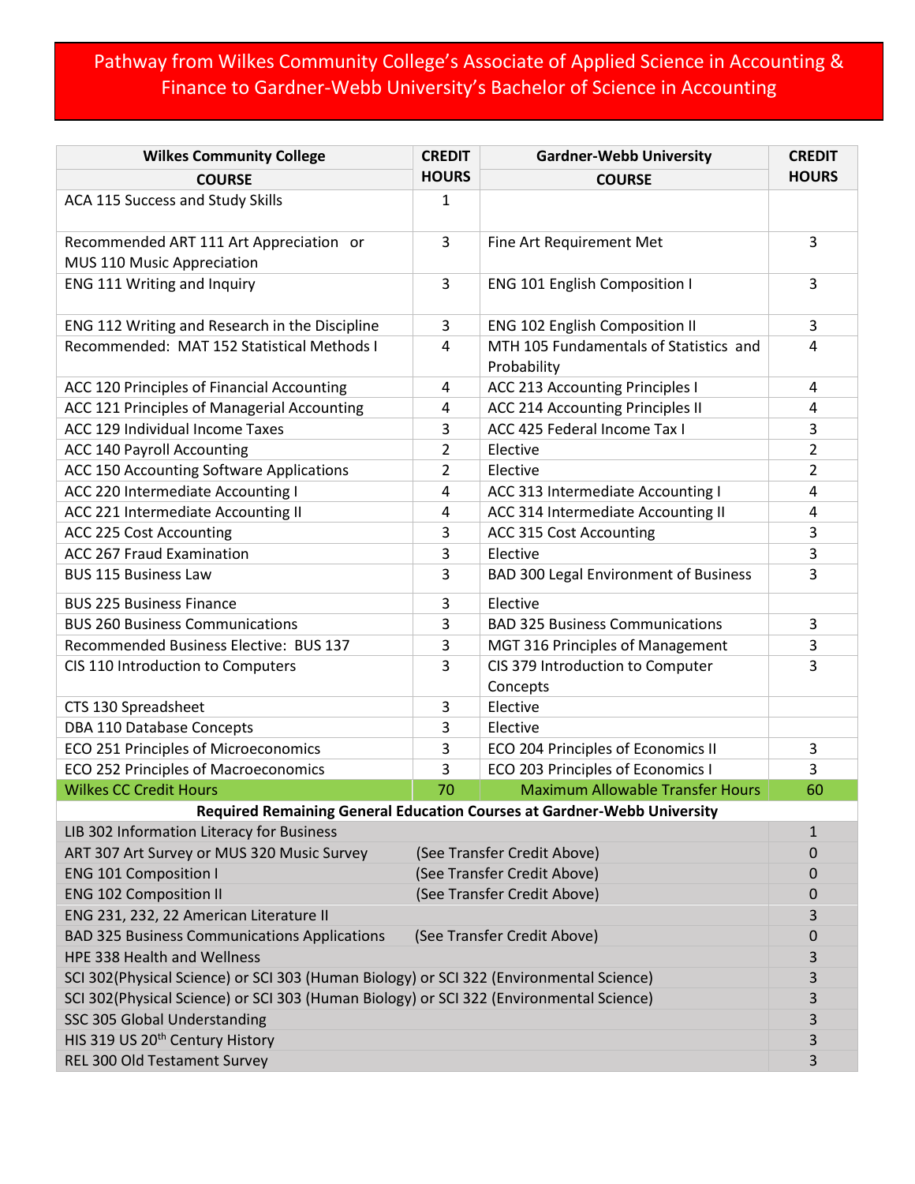## Pathway from Wilkes Community College's Associate of Applied Science in Accounting & Finance to Gardner-Webb University's Bachelor of Science in Accounting

| <b>Wilkes Community College</b>                                                         | <b>CREDIT</b>               | <b>Gardner-Webb University</b>                        |              |  |  |  |
|-----------------------------------------------------------------------------------------|-----------------------------|-------------------------------------------------------|--------------|--|--|--|
| <b>COURSE</b>                                                                           | <b>HOURS</b>                | <b>COURSE</b>                                         | <b>HOURS</b> |  |  |  |
| ACA 115 Success and Study Skills                                                        | 1                           |                                                       |              |  |  |  |
| Recommended ART 111 Art Appreciation or<br>MUS 110 Music Appreciation                   | 3                           | Fine Art Requirement Met                              | 3            |  |  |  |
| ENG 111 Writing and Inquiry                                                             | 3                           | ENG 101 English Composition I                         | 3            |  |  |  |
| ENG 112 Writing and Research in the Discipline                                          | 3                           | ENG 102 English Composition II                        | 3            |  |  |  |
| Recommended: MAT 152 Statistical Methods I                                              | 4                           | MTH 105 Fundamentals of Statistics and<br>Probability | 4            |  |  |  |
| ACC 120 Principles of Financial Accounting                                              | 4                           | ACC 213 Accounting Principles I                       | 4            |  |  |  |
| ACC 121 Principles of Managerial Accounting                                             | 4                           | <b>ACC 214 Accounting Principles II</b>               | 4            |  |  |  |
| ACC 129 Individual Income Taxes                                                         | 3                           | ACC 425 Federal Income Tax I                          | 3            |  |  |  |
| <b>ACC 140 Payroll Accounting</b>                                                       | 2                           | Elective                                              | 2            |  |  |  |
| ACC 150 Accounting Software Applications                                                | $\overline{2}$              | Elective                                              | 2            |  |  |  |
| ACC 220 Intermediate Accounting I                                                       | 4                           | ACC 313 Intermediate Accounting I                     | 4            |  |  |  |
| ACC 221 Intermediate Accounting II                                                      | 4                           | ACC 314 Intermediate Accounting II                    | 4            |  |  |  |
| ACC 225 Cost Accounting                                                                 | 3                           | ACC 315 Cost Accounting                               | 3            |  |  |  |
| ACC 267 Fraud Examination                                                               | 3                           | Elective                                              | 3            |  |  |  |
| <b>BUS 115 Business Law</b>                                                             | 3                           | <b>BAD 300 Legal Environment of Business</b>          | 3            |  |  |  |
| <b>BUS 225 Business Finance</b>                                                         | 3                           | Elective                                              |              |  |  |  |
| <b>BUS 260 Business Communications</b>                                                  | 3                           | <b>BAD 325 Business Communications</b>                | 3            |  |  |  |
| Recommended Business Elective: BUS 137                                                  | 3                           | MGT 316 Principles of Management                      | 3            |  |  |  |
| CIS 110 Introduction to Computers                                                       | 3                           | CIS 379 Introduction to Computer<br>Concepts          | 3            |  |  |  |
| CTS 130 Spreadsheet                                                                     | 3                           | Elective                                              |              |  |  |  |
| DBA 110 Database Concepts                                                               | 3                           | Elective                                              |              |  |  |  |
| ECO 251 Principles of Microeconomics                                                    | 3                           | ECO 204 Principles of Economics II                    | 3            |  |  |  |
| ECO 252 Principles of Macroeconomics                                                    | 3                           | ECO 203 Principles of Economics I                     | 3            |  |  |  |
| <b>Wilkes CC Credit Hours</b>                                                           | 70                          | <b>Maximum Allowable Transfer Hours</b>               | 60           |  |  |  |
| Required Remaining General Education Courses at Gardner-Webb University                 |                             |                                                       |              |  |  |  |
| LIB 302 Information Literacy for Business                                               |                             |                                                       | $\mathbf{1}$ |  |  |  |
| ART 307 Art Survey or MUS 320 Music Survey                                              | (See Transfer Credit Above) | 0                                                     |              |  |  |  |
| <b>ENG 101 Composition I</b>                                                            | (See Transfer Credit Above) | 0                                                     |              |  |  |  |
| <b>ENG 102 Composition II</b>                                                           | (See Transfer Credit Above) |                                                       |              |  |  |  |
| ENG 231, 232, 22 American Literature II                                                 |                             |                                                       |              |  |  |  |
| <b>BAD 325 Business Communications Applications</b><br>(See Transfer Credit Above)      |                             |                                                       |              |  |  |  |
| HPE 338 Health and Wellness                                                             |                             |                                                       |              |  |  |  |
| SCI 302(Physical Science) or SCI 303 (Human Biology) or SCI 322 (Environmental Science) |                             |                                                       |              |  |  |  |
| SCI 302(Physical Science) or SCI 303 (Human Biology) or SCI 322 (Environmental Science) |                             |                                                       |              |  |  |  |
| SSC 305 Global Understanding                                                            |                             |                                                       |              |  |  |  |
| HIS 319 US 20 <sup>th</sup> Century History                                             |                             |                                                       |              |  |  |  |
| REL 300 Old Testament Survey                                                            |                             |                                                       |              |  |  |  |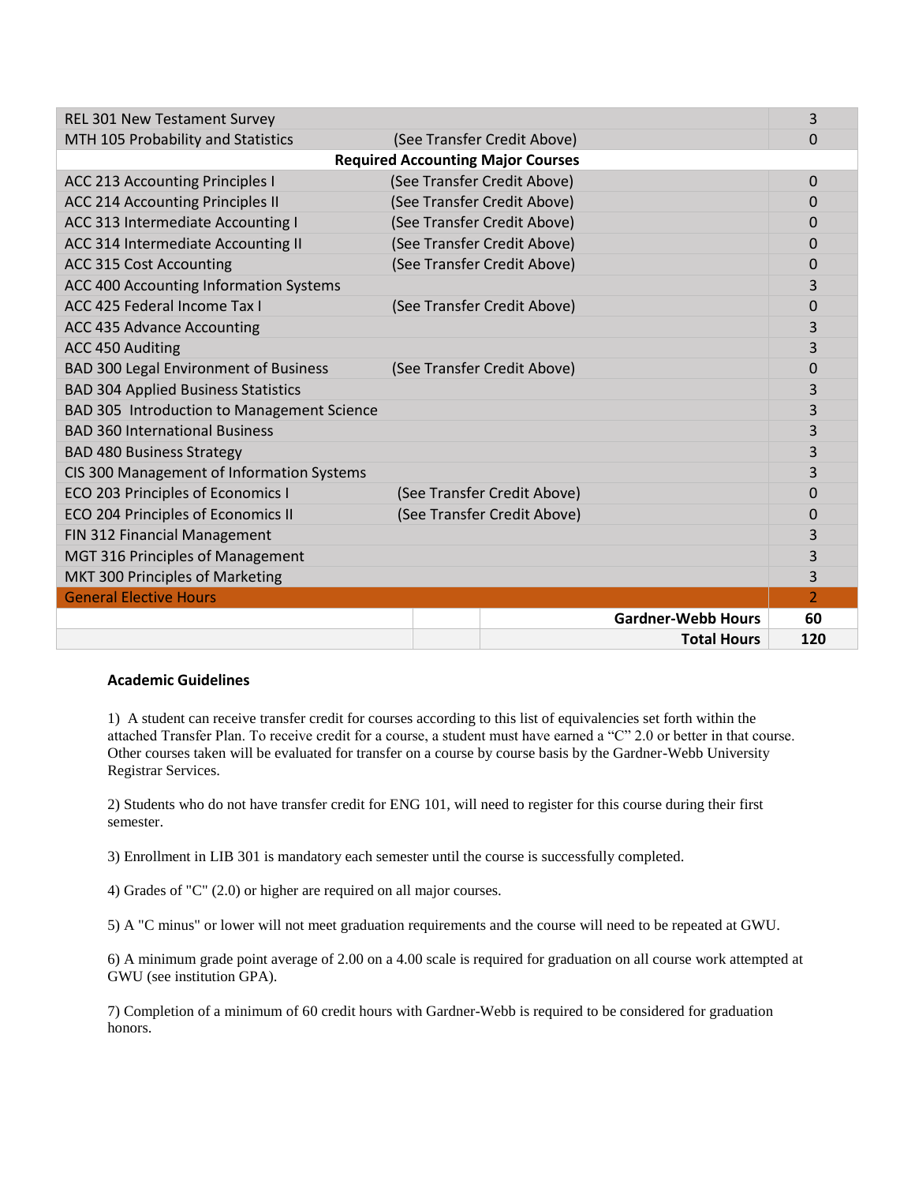| <b>REL 301 New Testament Survey</b>          |  |                             |                           | 3              |  |  |  |
|----------------------------------------------|--|-----------------------------|---------------------------|----------------|--|--|--|
| MTH 105 Probability and Statistics           |  | (See Transfer Credit Above) |                           | 0              |  |  |  |
| <b>Required Accounting Major Courses</b>     |  |                             |                           |                |  |  |  |
| <b>ACC 213 Accounting Principles I</b>       |  | (See Transfer Credit Above) |                           | 0              |  |  |  |
| <b>ACC 214 Accounting Principles II</b>      |  | (See Transfer Credit Above) |                           | 0              |  |  |  |
| ACC 313 Intermediate Accounting I            |  | (See Transfer Credit Above) |                           | 0              |  |  |  |
| ACC 314 Intermediate Accounting II           |  | (See Transfer Credit Above) |                           | 0              |  |  |  |
| ACC 315 Cost Accounting                      |  | (See Transfer Credit Above) |                           | 0              |  |  |  |
| ACC 400 Accounting Information Systems       |  |                             |                           | 3              |  |  |  |
| ACC 425 Federal Income Tax I                 |  | (See Transfer Credit Above) |                           | 0              |  |  |  |
| ACC 435 Advance Accounting                   |  |                             |                           | 3              |  |  |  |
| ACC 450 Auditing                             |  |                             |                           | 3              |  |  |  |
| <b>BAD 300 Legal Environment of Business</b> |  | (See Transfer Credit Above) |                           | 0              |  |  |  |
| <b>BAD 304 Applied Business Statistics</b>   |  |                             |                           | 3              |  |  |  |
| BAD 305 Introduction to Management Science   |  |                             |                           | 3              |  |  |  |
| <b>BAD 360 International Business</b>        |  |                             |                           | 3              |  |  |  |
| <b>BAD 480 Business Strategy</b>             |  |                             |                           | 3              |  |  |  |
| CIS 300 Management of Information Systems    |  |                             |                           | 3              |  |  |  |
| ECO 203 Principles of Economics I            |  | (See Transfer Credit Above) |                           | 0              |  |  |  |
| ECO 204 Principles of Economics II           |  | (See Transfer Credit Above) |                           | 0              |  |  |  |
| FIN 312 Financial Management                 |  |                             |                           | 3              |  |  |  |
| MGT 316 Principles of Management             |  |                             |                           | 3              |  |  |  |
| MKT 300 Principles of Marketing              |  |                             |                           | 3              |  |  |  |
| <b>General Elective Hours</b>                |  |                             |                           | $\overline{2}$ |  |  |  |
|                                              |  |                             | <b>Gardner-Webb Hours</b> | 60             |  |  |  |
|                                              |  |                             | <b>Total Hours</b>        | 120            |  |  |  |

## **Academic Guidelines**

1) A student can receive transfer credit for courses according to this list of equivalencies set forth within the attached Transfer Plan. To receive credit for a course, a student must have earned a "C" 2.0 or better in that course. Other courses taken will be evaluated for transfer on a course by course basis by the Gardner-Webb University Registrar Services.

2) Students who do not have transfer credit for ENG 101, will need to register for this course during their first semester.

3) Enrollment in LIB 301 is mandatory each semester until the course is successfully completed.

4) Grades of "C" (2.0) or higher are required on all major courses.

5) A "C minus" or lower will not meet graduation requirements and the course will need to be repeated at GWU.

6) A minimum grade point average of 2.00 on a 4.00 scale is required for graduation on all course work attempted at GWU (see institution GPA).

7) Completion of a minimum of 60 credit hours with Gardner-Webb is required to be considered for graduation honors.